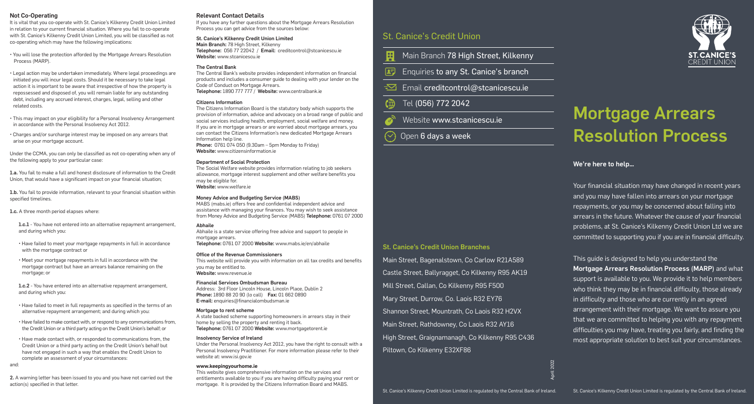## Not Co-Operating

It is vital that you co-operate with St. Canice's Kilkenny Credit Union Limited in relation to your current financial situation. Where you fail to co-operate with St. Canice's Kilkenny Credit Union Limited, you will be classified as not co-operating which may have the following implications:

• You will lose the protection afforded by the Mortgage Arrears Resolution Process (MARP).

• Legal action may be undertaken immediately. Where legal proceedings are initiated you will incur legal costs. Should it be necessary to take legal action it is important to be aware that irrespective of how the property is repossessed and disposed of, you will remain liable for any outstanding debt, including any accrued interest, charges, legal, selling and other related costs.

• This may impact on your eligibility for a Personal Insolvency Arrangement in accordance with the Personal Insolvency Act 2012.

• Charges and/or surcharge interest may be imposed on any arrears that arise on your mortgage account.

Under the CCMA, you can only be classified as not co-operating when any of the following apply to your particular case:

1.a. You fail to make a full and honest disclosure of information to the Credit Union, that would have a significant impact on your financial situation;

1.b. You fail to provide information, relevant to your financial situation within specified timelines.

1.c. A three month period elapses where:

1.c.1 - You have not entered into an alternative repayment arrangement, and during which you:

• Have failed to meet your mortgage repayments in full in accordance with the mortgage contract or

• Meet your mortgage repayments in full in accordance with the mortgage contract but have an arrears balance remaining on the mortgage; or

1.c.2 - You have entered into an alternative repayment arrangement, and during which you:

• Have failed to meet in full repayments as specified in the terms of an alternative repayment arrangement; and during which you:

• Have failed to make contact with, or respond to any communications from, the Credit Union or a third party acting on the Credit Union's behalf; or

• Have made contact with, or responded to communications from, the Credit Union or a third party acting on the Credit Union's behalf but have not engaged in such a way that enables the Credit Union to complete an assessment of your circumstances:

and:

2. A warning letter has been issued to you and you have not carried out the action(s) specified in that letter.

# Relevant Contact Details

If you have any further questions about the Mortgage Arrears Resolution Process you can get advice from the sources below:

St. Canice's Kilkenny Credit Union Limited Main Branch: 78 High Street, Kilkenny Telephone: 056 77 22042 / Email: creditcontrol@stcanicescu.ie Website: www.stcanicescu.ie

# The Central Bank

The Central Bank's website provides independent information on financial products and includes a consumer guide to dealing with your lender on the Code of Conduct on Mortgage Arrears. Telephone: 1890 777 777 / Website: www.centralbank.ie

# Citizens Information

The Citizens Information Board is the statutory body which supports the provision of information, advice and advocacy on a broad range of public and social services including health, employment, social welfare and money. If you are in mortgage arrears or are worried about mortgage arrears, you can contact the Citizens Information's new dedicated Mortgage Arrears Information help line. Phone: 0761 074 050 (9.30am – 5pm Monday to Friday)

Website: www.citizensinformation.ie

## Department of Social Protection

The Social Welfare website provides information relating to job seekers allowance, mortgage interest supplement and other welfare benefits you may be eligible for. Website: www.welfare.ie

# Money Advice and Budgeting Service (MABS)

MABS (mabs.ie) offers free and confidential independent advice and assistance with managing your finances. You may wish to seek assistance from Money Advice and Budgeting Service (MABS) Telephone: 0761 07 2000

### Abhaile

Abhaile is a state service offering free advice and support to people in mortgage arrears. Telephone: 0761 07 2000 Website: www.mabs.ie/en/abhaile

Office of the Revenue Commissioners This website will provide you with information on all tax credits and benefits you may be entitled to. Website: www.revenue.ie

# Financial Services Ombudsman Bureau

Address: 3rd Floor Lincoln House, Lincoln Place, Dublin 2 Phone: 1890 88 20 90 (lo call) Fax: 01 662 0890 E-mail: enquiries@financialombudsman.ie

# Mortgage to rent scheme

A state backed scheme supporting homeowners in arrears stay in their home by selling the property and renting it back. Telephone: 0761 07 2000 Website: www.mortgagetorent.ie

### Insolvency Service of Ireland

Under the Personal Insolvency Act 2012, you have the right to consult with a Personal Insolvency Practitioner. For more information please refer to their website at: www.isi.gov.ie

### **www.keepingyourhome.ie**

This website gives comprehensive information on the services and entitlements available to you if you are having difficulty paying your rent or mortgage. It is provided by the Citizens Information Board and MABS.

# St. Canice's Credit Union

- Main Branch 78 High Street, Kilkenny 岡
- 困 Enquiries to any St. Canice's branch
- $\equiv$ Email creditcontrol@stcanicescu.ie

#### ( $\oplus$ Tel (056) 772 2042

- Website www.stcanicescu.ie
- Open 6 days a week

# St. Canice's Credit Union Branches

Main Street, Bagenalstown, Co Carlow R21A589 Castle Street, Ballyragget, Co Kilkenny R95 AK19 Mill Street, Callan, Co Kilkenny R95 F500 Mary Street, Durrow, Co. Laois R32 EY76 Shannon Street, Mountrath, Co Laois R32 H2VX Main Street, Rathdowney, Co Laois R32 AY16 High Street, Graignamanagh, Co Kilkenny R95 C436 Piltown, Co Kilkenny E32XF86



# Mortgage Arrears Resolution Process

We're here to help…

Your financial situation may have changed in recent years and you may have fallen into arrears on your mortgage repayments, or you may be concerned about falling into arrears in the future. Whatever the cause of your financial problems, at St. Canice's Kilkenny Credit Union Ltd we are committed to supporting you if you are in financial difficulty.

This guide is designed to help you understand the Mortgage Arrears Resolution Process (MARP) and what support is available to you. We provide it to help members who think they may be in financial difficulty, those already in difficulty and those who are currently in an agreed arrangement with their mortgage. We want to assure you that we are committed to helping you with any repayment difficulties you may have, treating you fairly, and finding the most appropriate solution to best suit your circumstances.

April 2022